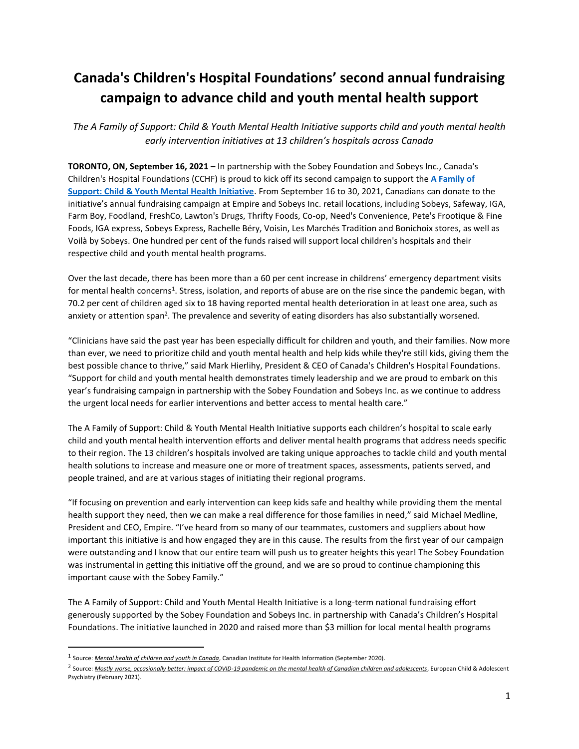# **Canada's Children's Hospital Foundations' second annual fundraising campaign to advance child and youth mental health support**

*The A Family of Support: Child & Youth Mental Health Initiative supports child and youth mental health early intervention initiatives at 13 children's hospitals across Canada*

**TORONTO, ON, September 16, 2021 –** In partnership with the Sobey Foundation and Sobeys Inc., Canada's Children's Hospital Foundations (CCHF) is proud to kick off its second campaign to support the **[A Family of](https://www.afamilyofsupport.com/)  [Support: Child & Youth Mental Health Initiative](https://www.afamilyofsupport.com/)**. From September 16 to 30, 2021, Canadians can donate to the initiative's annual fundraising campaign at Empire and Sobeys Inc. retail locations, including Sobeys, Safeway, IGA, Farm Boy, Foodland, FreshCo, Lawton's Drugs, Thrifty Foods, Co-op, Need's Convenience, Pete's Frootique & Fine Foods, IGA express, Sobeys Express, Rachelle Béry, Voisin, Les Marchés Tradition and Bonichoix stores, as well as Voilà by Sobeys. One hundred per cent of the funds raised will support local children's hospitals and their respective child and youth mental health programs.

Over the last decade, there has been more than a 60 per cent increase in childrens' emergency department visits for mental health concerns<sup>1</sup>. Stress, isolation, and reports of abuse are on the rise since the pandemic began, with 70.2 per cent of children aged six to 18 having reported mental health deterioration in at least one area, such as anxiety or attention span<sup>2</sup>. The prevalence and severity of eating disorders has also substantially worsened.

"Clinicians have said the past year has been especially difficult for children and youth, and their families. Now more than ever, we need to prioritize child and youth mental health and help kids while they're still kids, giving them the best possible chance to thrive," said Mark Hierlihy, President & CEO of Canada's Children's Hospital Foundations. "Support for child and youth mental health demonstrates timely leadership and we are proud to embark on this year's fundraising campaign in partnership with the Sobey Foundation and Sobeys Inc. as we continue to address the urgent local needs for earlier interventions and better access to mental health care."

The A Family of Support: Child & Youth Mental Health Initiative supports each children's hospital to scale early child and youth mental health intervention efforts and deliver mental health programs that address needs specific to their region. The 13 children's hospitals involved are taking unique approaches to tackle child and youth mental health solutions to increase and measure one or more of treatment spaces, assessments, patients served, and people trained, and are at various stages of initiating their regional programs.

"If focusing on prevention and early intervention can keep kids safe and healthy while providing them the mental health support they need, then we can make a real difference for those families in need," said Michael Medline, President and CEO, Empire. "I've heard from so many of our teammates, customers and suppliers about how important this initiative is and how engaged they are in this cause. The results from the first year of our campaign were outstanding and I know that our entire team will push us to greater heights this year! The Sobey Foundation was instrumental in getting this initiative off the ground, and we are so proud to continue championing this important cause with the Sobey Family."

The A Family of Support: Child and Youth Mental Health Initiative is a long-term national fundraising effort generously supported by the Sobey Foundation and Sobeys Inc. in partnership with Canada's Children's Hospital Foundations. The initiative launched in 2020 and raised more than \$3 million for local mental health programs

<sup>1</sup> Source: *[Mental health of children and youth in Canada](https://www.cihi.ca/en/mental-health-of-children-and-youth-in-canada)*, Canadian Institute for Health Information (September 2020).

<sup>2</sup> Source: *[Mostly worse, occasionally better: impact of COVID-19 pandemic on the mental health of Canadian children and adolescents](https://link.springer.com/article/10.1007/s00787-021-01744-3#citeas)*, European Child & Adolescent Psychiatry (February 2021).